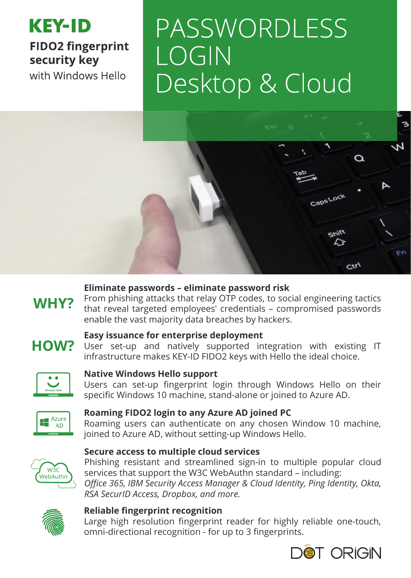## **KEY-ID FIDO2 fingerprint** security key with Windows Hello

# PASSWORDLESS  $LOGIN$ Desktop & Cloud



#### **Eliminate passwords – eliminate password risk**

From phishing attacks that relay OTP codes, to social engineering tactics that reveal targeted employees' credentials – compromised passwords enable the vast majority data breaches by hackers.

# **HOW?**

WHY?

#### **Easy issuance for enterprise deployment**

User set-up and natively supported integration with existing IT infrastructure makes KEY-ID FIDO2 keys with Hello the ideal choice.



#### **Native Windows Hello support**

Users can set-up fingerprint login through Windows Hello on their specific Windows 10 machine, stand-alone or joined to Azure AD.



#### **Roaming FIDO2 login to any Azure AD joined PC**

Roaming users can authenticate on any chosen Window 10 machine, joined to Azure AD, without setting-up Windows Hello.



#### **Secure access to multiple cloud services**

Phishing resistant and streamlined sign-in to multiple popular cloud services that support the W3C WebAuthn standard – including: *Office 365, IBM Security Access Manager & Cloud Identity, Ping Identity, Okta, RSA SecurID Access, Dropbox, and more.*



#### **Reliable fingerprint recognition**

Large high resolution fingerprint reader for highly reliable one-touch, omni-directional recognition - for up to 3 fingerprints.



З